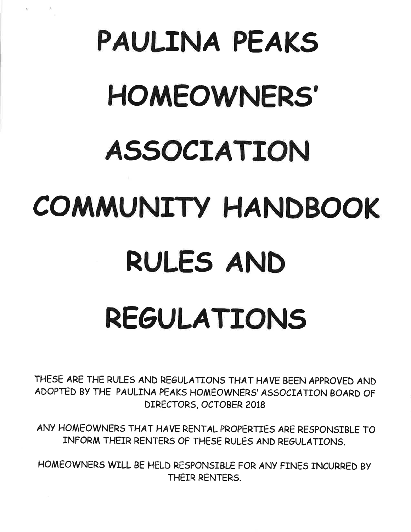# PAULINA PEAK5 **HOMEOWNERS'** AS5OCTATION COMMUNITY HANDBOOK RULES AND RE6ULATTONs

THE5E ARE THE RULE5 AND REGULATTONS THAT HAVE BEEN APPROVED AND ADOPTED BY THE PAULINA PEAKS HOMEOWNERS' ASSOCIATION BOARD OF DIRECTORS, OCTOBER 2OI8

ANY HOMEOWNER5 THAT HAVE RENTAL PROPERTIE5 ARE RE5PONSIBLE TO INFORM THEIR RENTER5 OF THE5E RULE5 AND REoULATIONS.

HOMEOWNER5 WILL BE HELD RE5PONSIBLE FOR ANY FINE5 INCURRED BY THEIR RENTERS.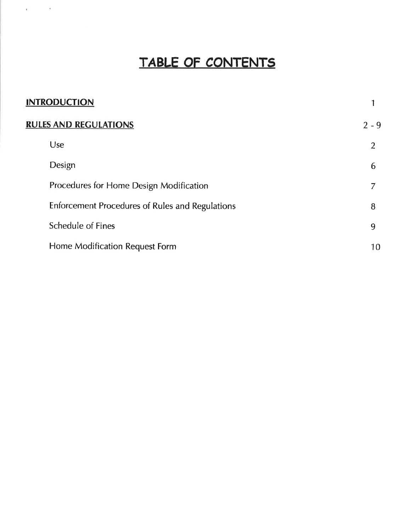# TABLE OF CONTENTS

 $\alpha = -\infty$ 

| <b>INTRODUCTION</b>          |                                                 |                |
|------------------------------|-------------------------------------------------|----------------|
| <b>RULES AND REGULATIONS</b> |                                                 | $2 - 9$        |
|                              | Use                                             | $\overline{2}$ |
|                              | Design                                          | 6              |
|                              | Procedures for Home Design Modification         |                |
|                              | Enforcement Procedures of Rules and Regulations | 8              |
|                              | <b>Schedule of Fines</b>                        | 9              |
|                              | Home Modification Request Form                  | 10             |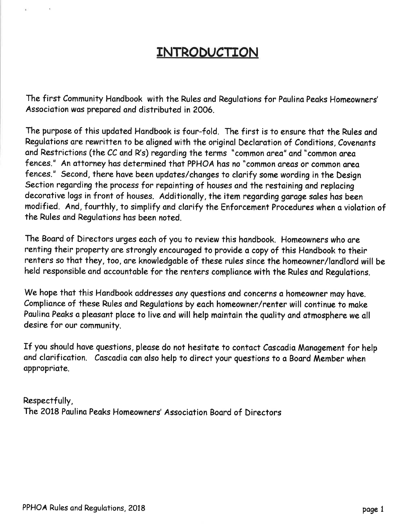## INTRODUCTION

The first Community Handbook with the Rules and Regulations for Paulina Peaks Homeowners' Associotion was prepared ond distributed in 2006.

The purpose of this updated Handbook is four-fold. The first is to ensure that the Rules and Regulations are rewritten to be aligned with the original Declaration of Conditions, Covenants and Restrictions (the CC and R's) regarding the terms "common area" and "common area fences." An attorney has determined that PPHOA has no "common areas or common area fences." Second, there have been updates/changes to clarify some wording in the Design Section regarding the process for repainting of houses and the restaining and replacing decorative logs in front of houses. Additionally, the item regarding garage sales has been modified. And, fourthly, to simplify and clarify the Enforcement Procedures when a violation of the Rules and Regulations has been noted.

The Board of Directors urges each of you to review this handbook. Homeowners who are renting their property are strongly encouraged to provide a copy of this Handbook to their renters so that they, too, are knowledgable of these rules since the homeowner/landlord will be held responsible and accountable for the renters compliance with the Rules and Regulations.

We hope that this Handbook addresses any questions and concerns a homeowner may have. Compliance of these Rules and Regulations by each homeowner/renter will continue to make Paulina Peaks a pleasant place to live and will help maintain the quality and atmosphere we all desire for our community.

If you should have questions, please do not hesitate to contact Cascadia Management for help and clarification. Cascadia can also help to direct your questions to a Board Member when appropriate.

Respectfully, The 2018 Paulina Peaks Homeowners' Association Board of Directors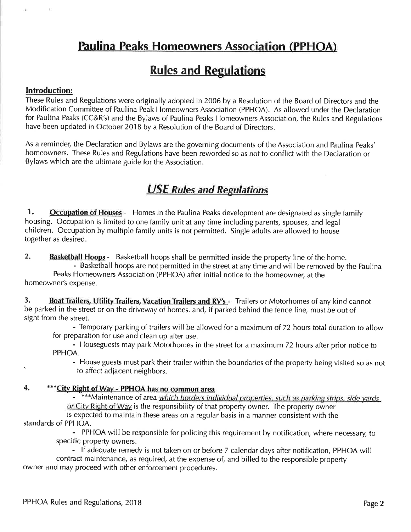## Faulina Peaks Homeowners Association (PPHOA)

## **Rules and Regulations**

#### lntroduction:

These Rules and Regulations were originally adopted in 2006 by a Resolution of the Board of Directors and the Modification Committee of Paulina Peak Homeowners Association (PPHOA). As allowed under the Declaration for Paulina Peaks (CC&R's) and the Bylaws of Paulina Peaks Homeowners Association, the Rules and Regulations have been updated in October 2018 by a Resolution of the Board of Directors.

As a reminder, the Declaration and Bylaws are the governing documents of the Association and Paulina Peaks' homeowners. These Rules and Regulations have been reworded so as not to conflict with the Declaration or Bylaws which are the ultimate guide for the Association.

#### USE Rules and Regulations

1. **Occupation of Houses** - Homes in the Paulina Peaks development are designated as single family housing. Occupation is limited to one family unit at any time including parents, spouses, and legal children. Occupation by multiple family units is not permitted. Single adults are allowed to house together as desired.

2. Basketball Hoops - Basketball hoops shall be permitted inside the property line of the home.

- Basketball hoops are not permitted in the street at any time and will be removed by the Paulina Peaks Homeowners Association (PPHOA) after initial notice to the homeowner, at the homeowner's expense.

3. Boat Trailers, Utility Trailers, Vacation Trailers and RV's - Trailers or Motorhomes of any kind cannot be parked in the street or on the driveway of homes. and, if parked behind the fence line, must be out of sight from the street.

- Temporary parking of trailers will be allowed for a maximum of 72 hours total duration to allow for preparation for use and clean up after use.

- Houseguests may park Motorhomes in the street for a maximum 72 hours after prior notice to PPHOA.

- House guests must park their trailer within the boundaries of the property being visited so as not to affect adjacent neighbors.

#### 4. \*\*\*City Right of Way - PPHOA has no common area

- \*\*\*Maintenance of area which borders individual properties, such as parking strips, side yards or City Right of Way is the responsibility of that property owner. The property owner is expected to maintain these areas on a regular basis in a manner consistent with the

.standards of PPHOA<br>יחס

- PPHOA will be responsible for policing this requirement by notification, where necessary, to specific property owners.

- lf adequate remedy is not taken on or before 7 calendar days after notification, PPHOA will contract maintenance, as required, at the expense of, and billed to the responsible property owner and may proceed with other enforcement procedures.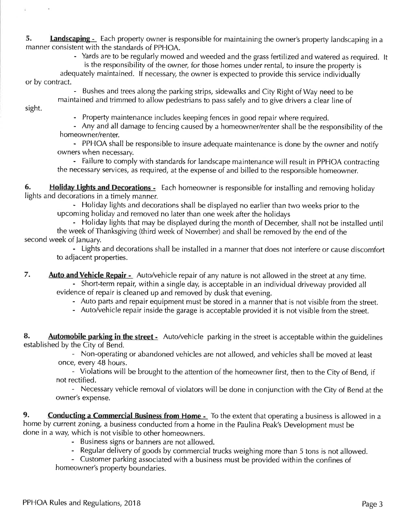5. Landscaping - Each property owner is responsible for maintaining the owner's property landscaping in a manner consistent with the standards of PPHOA.

- Yards are to be regularly mowed and weeded and the grass fertilized and watered as required. It

is the responsibility of the owner, for those homes under rental, to insure the property is adequately maintained. lf necessary, the owner is expected to provide this service individually or by contract.

- Bushes and trees along the parking strips, sidewalks and City Right of Way need to be maintained and trimmed to allow pedestrians to pass safely and to give drivers a clear line of

sight.

- Property maintenance includes keeping fences in good repair where required.

- Any and all damage to fencing caused by a homeowner/renter shall be the responsibility of the homeowner/renter.

- PPHOA shall be responsible to insure adequate maintenance is done by the owner and notify owners when necessary.

- Failure to comply with standards for landscape maintenance will result in PPHOA contracting the necessary services, as required, at the expense of and billed to the responsible homeowner.

6. Holiday Lights and Decorations - Each homeowner is responsible for installing and removing holiday lights and decorations in a timely manner.

- Holiday lights and decorations shall be displayed no earlier than two weeks prior to the upcoming holiday and removed no later than one week after the holidays

- Holiday lights that may be displayed during the month of December, shall not be installed until the week of Thanksgiving (third week of November) and shall be removed by the end of the second week of January.

- Lights and decorations shall be installed in a manner that does not interfere or cause discomfort to adjacent properties.

7. Auto and Vehicle Repair - Auto/vehicle repair of any nature is not allowed in the street at any time.

- Short-term repair, within a single day, is acceptable in an individual driveway provided all evidence of repair is cleaned up and removed by dusk that evening.

- Auto parts and repair equipment must be stored in a manner that is not visible from the street.
- Auto/vehicle repair inside the garage is acceptable provided it is not visible from the street.

8. Automobile parking in the street - Auto/vehicle parking in the street is acceptable within the guidelines established by the City of Bend.

- Non-operating or abandoned vehicles are not allowed, and vehicles shall be moved at least once, every 48 hours.

- Violations will be brought to the attention of the homeowner first, then to the City of Bend, if not rectified.

- Necessary vehicle removal of violators will be done in conjunction with the City of Bend at the owner's expense.

9. Conducting a Commercial Business from Home - To the extent that operating a business is allowed in a home by current zoning, a business conducted from a home in the Paulina Peak's Development must be done in a way, which is not visible to other homeowners.

- Business signs or banners are not allowed.
- Regular delivery of goods by commercial trucks weighing more than 5 tons is not allowed.

- Customer parking associated with a business must be provided within the confines of homeowner's property boundaries.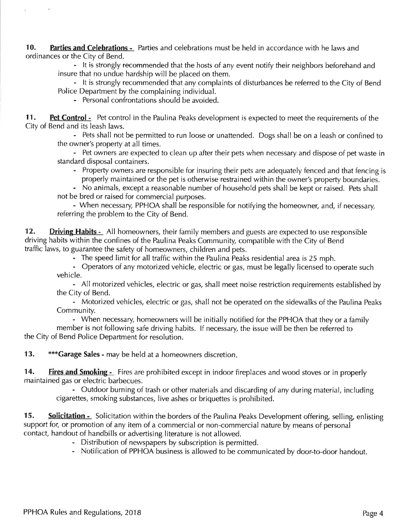10. Parties and Celebrations - Parties and celebrations must be held in accordance with he laws and ordinances or the City of Bend.

- lt is strongly recommended that the hosts of any event notify their neighbors beforehand and insure that no undue hardship will be placed on them.

- lt is strongly recommended that any complaints of disturbances be referred to the City of Bend Police Department by the complaining individual.

- Personal confrontations should be avoided.

11. Pet Control - Pet control in the Paulina Peaks development is expected to meet the requirements of the City of Bend and its leash laws.

- Pets shall not be permitted to run loose or unattended. Dogs shall be on a leash or confined to the owner's property at all times.

- Pet owners are expected to clean up after their pets when necessary and dispose of pet waste in standard disposal containers.

- Property owners are responsible for insuring their pets are adequately fenced and that fencing is properly maintained or the pet is otherwise restrained within the owner's property boundaries.

- No animals, except a reasonable number of household pets shall be kept or raised. Pets shall not be bred or raised for commercial purposes.

- When necessary, PPHOA shall be responsible for notifying the homeowner, and, if necessary, referring the problem to the City of Bend.

12. Driving Habits - All homeowners, their family members and guests are expected to use responsible driving habits within the confines of the Paulina Peaks Community, compatible with the City of Bend traffic laws, to guarantee the safety of homeowners, children and pets.

- The speed limit for all traffic within the Paulina Peaks residential area is 25 mph.

- Operators of any motorized vehicle, electric or gas, must be legally licensed to operate such vehicle.

- All motorized vehicles, electric or gas, shall meet noise restriction requirements established by the City of Bend.

- Motorized vehicles, electric or gas, shall not be operated on the sidewalks of the Paulina Peaks Community.

- When necessary, homeowners will be initially notified for the PPHOA that they or a family member is not following safe driving habits. lf necessary, the issue will be then be referred to the City of Bend Police Department for resolution.

13. \*\*\* Garage Sales - may be held at a homeowners discretion.

14. **Fires and Smoking** - Fires are prohibited except in indoor fireplaces and wood stoves or in properly maintained gas or electric barbecues.

- Outdoor burning of trash or other materials and discarding of any during material, including cigarettes, smoking substances, live ashes or briquettes is prohibited.

15. Solicitation - Solicitation within the borders of the Paulina Peaks Development offering, selling, enlisting support for, or promotion of any item of a commercial or non-commercial nature by means of personal contact, handout of handbills or advertising literature is not allowed.

- Distribution of newspapers by subscription is permitted.
- Notification of PPHOA business is allowed to be communicated by door-to-door handout.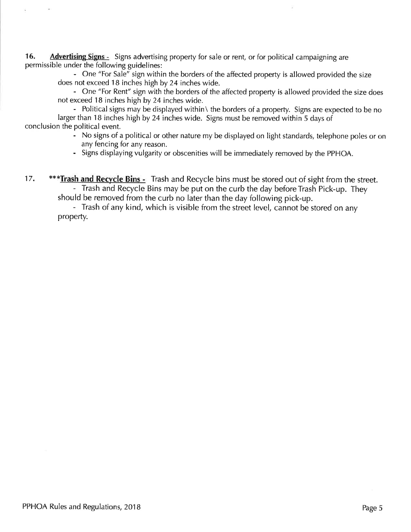16. Advertising Signs - Signs advertising property for sale or rent, or for political campaigning are permissible under the following guidelines:

> - One "For Sale" sign within the borders of the affected property is allowed provided the size does not exceed 18 inches high by 24 inches wide.

- One "For Rent" sign with the borders of the affected property is allowed provided the size does not exceed 18 inches high by 24 inches wide.

- Political signs may be displayed within\ the borders of a property. Signs are expected to be no larger than 18 inches high by 24 inches wide. Signs must be removed within 5 days of conclusion the political event.

- No signs of a political or other nature my be displayed on light standards, telephone poles or on any fencing for any reason.
- Signs displaying vulgarity or obscenities will be immediately removed by the PPHOA.

17. \*\*\* Trash and Recycle Bins - Trash and Recycle bins must be stored out of sight from the street. - Trash and Recycle Bins may be put on the curb the day before Trash Pick-up. They should be removed from the curb no later than the day following pick-up.

- Trash of any kind, which is visible from the street level, cannot be stored on any property.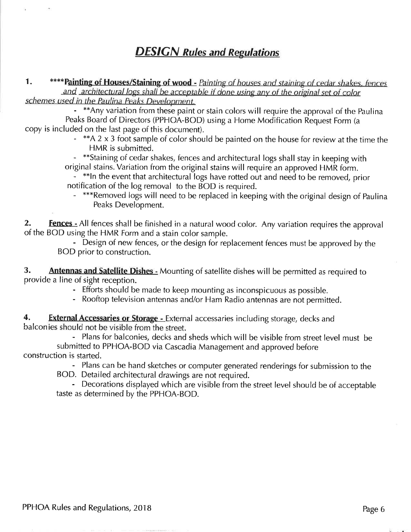#### **DESIGN Rules and Regulations**

1. \*\*\*\* Painting of Houses/Staining of wood - Painting of houses and staining of cedar shakes, fences and architectural logs shall be acceptable if done using any of the original set of color

schemes used in the Paulina Peaks Development.<br>- \*\*Any variation from these paint or stain colors will require the approval of the Paulina Peaks Board of Directors (PPHOA-BOD) using a Home Modification Request Form (a copy is included on the last page of this document).

- \*\*A 2 x 3 foot sample of color should be painted on the house for review at the time the HMR is submitted.

- \*\*Staining of cedar shakes, fences and architectural logs shall stay in keeping with original stains. Variation from the original stains will require an approved HMR form.

- \*\*ln the event that architectural logs have rotted out and need to be removed, prior notification of the log removal to the BOD is required.

- \*\*\*Removed logs will need to be replaced in keeping with the original design of Paulina Peaks Development,

2. **Fences** - All fences shall be finished in a natural wood color. Any variation requires the approval of the BOD using the HMR Form and a stain color sample.

- Design of new fences, or the design for replacement fences must be approved by the BOD prior to construction.

3. Antennas and Satellite Dishes - Mounting of satellite dishes will be permitted as required to provide a line of sight reception.

- Efforts should be made to keep mounting as inconspicuous as possible.

- Rooftop television antennas and/or Ham Radio antennas are not permitted.

4. External Accessaries or Storage - External accessaries including storage, decks and balconies should not be visible from the street.

- Plans for balconies, decks and sheds which will be visible from street level must be submitted to PPHOA-BOD via Cascadia Management and approved before construction is started.

- Plans can be hand sketches or computer generated renderings for submission to the

BOD. Detailed architectural drawings are not required.

- Decorations displayed which are visible from the street level should be of acceptable taste as determined by the PPHOA-BOD.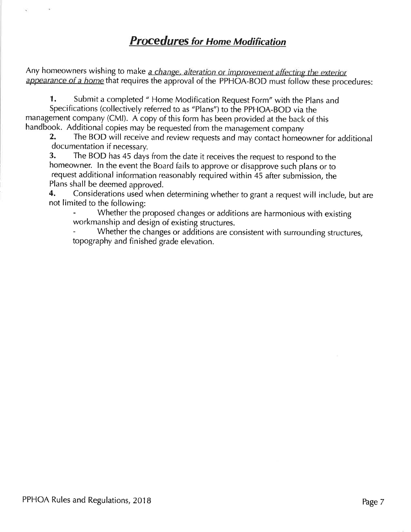Any homeowners wishing to make a change, alteration or improvement affecting the exterior appearance of a home that requires the approval of the PPHOA-BOD must follow these procedures:

1. Submit a completed " Home Modification Request Form" with the Plans and Specifications (collectively referred to as "Plans") to the PPHOA-BOD via the management company (CMI). A copy of this form has been provided at the back of this handbook. Additional copies may be requested from the management company

2. The BOD will receive and review requests and may contact homeowner for additional documentation if necessary.

3. The BOD has 45 days from the date it receives the request to respond to the homeowner. In the event the Board fails to approve or disapprove such plans or to request additional information reasonably required within 45 after submission, the Plans shall be deemed approved.

4. Considerations used when determining whether to grant a request will include, but are not limited to the following:

Whether the proposed changes or additions are harmonious with existing workmanship and design of existing structures.

topography and finished grade elevation. Whether the changes or additions are consistent with surrounding structures,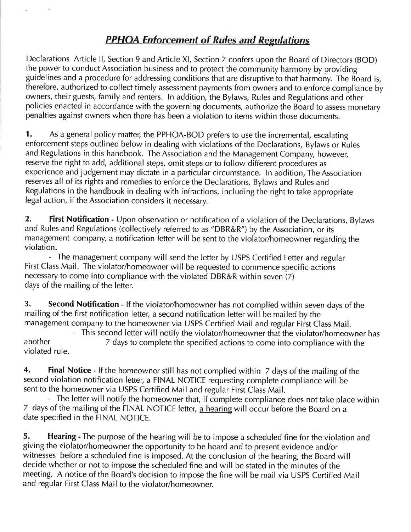#### PPHOA Enforcement of Rules and Regulations

Declarations Article ll, Section 9 and Article Xl, Section 7 confers upon the Board of Directors (BOD) the power to conduct Association business and to protect the community harmony by providing guidelines and a procedure for addressing conditions that are disruptive to that harmony. The Board is, therefore, authorized to collect timely assessment payments from owners and to enforce compliance by owners, their guests, family and renters. ln addition, the Bylaws, Rules and Regulations and other policies enacted in accordance with the governing documents, authorize the Board to assess monetary penalties against owners when there has been a violation to items within those documents.

1. As a general policy matter, the PPHOA-BOD prefers to use the incremental, escalating enforcement steps outlined below in dealing with violations of the Declarations, Bylaws or Rules and Regulations in this handbook. The Association and the Management Company, however, reserve the right to add, additional steps, omit steps or to follow different procedures as experience and judgement may dictate in a particular circumstance. ln addition, The Association reserves all of its rights and remedies to enforce the Declarations, Bylaws and Rules and Regulations in the handbook in dealing with infractions, including the right to take appropriate legal action, if the Association considers it necessary.

2. First Notification - Upon observation or notification of a violation of the Declarations, Bylaws and Rules and Regulations (collectively referred to as "DBR&R") by the Association, or its management company, a notification letter will be sent to the violator/homeowner regarding the violation.

- The management company will send the letter by USPS Certified Letter and regular First Class Mail. The violator/homeowner will be requested to commence specific actions necessary to come into compliance with the violated DBR&R within seven (7) days of the mailing of the letter.

3. Second Notification - If the violator/homeowner has not complied within seven days of the mailing of the first notification letter, a second notification letter will be mailed by the management company to the homeowner via USPS Certified Mail and regular First Class Mail.<br>This second letter will notify the violator/homeowner that the violator/homeowner has

another This second areas another with the violation of the specified actions to come into compliance with the violated rule.

4. Final Notice - If the homeowner still has not complied within 7 days of the mailing of the second violation notification letter, a FINAL NOTICE requesting complete compliance will be sent to the homeowner via USPS Certified Mail and regular First Class Mail.

- The letter will notify the homeowner that, if complete compliance does not take place within 7 days of the mailing of the FINAL NOTICE letter, a hearing will occur before the Board on a date specified in the FINAL NOTICE.

5. Hearing - The purpose of the hearing will be to impose a scheduled fine for the violation and giving the violator/homeowner the opportunity to be heard and to present evidence and/or witnesses before a scheduled fine is imposed. At the conclusion of the hearing, the Board will decide whether or not to impose the scheduled fine and will be stated in the minutes of the meeting. A notice of the Board's decision to impose the fine will be mail via USPS Certified Mail and regular First Class Mail to the violator/homeowner.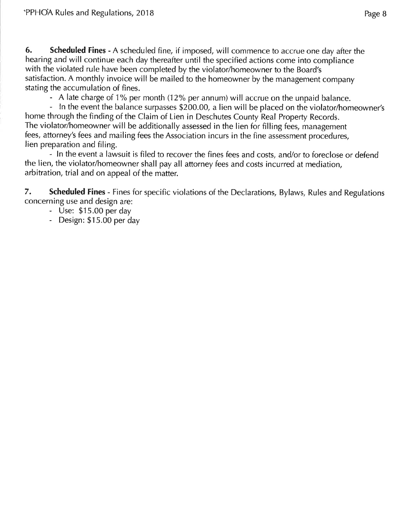6. Scheduled Fines - A scheduled fine, if imposed, will commence to accrue one day after the hearing and will continue each day thereafter until the specified actions come into compliance with the violated rule have been completed by the violator/homeowner to the Board's satisfaction. A monthly invoice will be mailed to the homeowner by the management company stating the accumulation of fines.

- A late charge of 1% per month (12% per annum) will accrue on the unpaid balance.

- In the event the balance surpasses \$200.00, a lien will be placed on the violator/homeowner's home through the finding of the Claim of Lien in Deschutes County Real Property Records. The violator/homeowner will be additionally assessed in the lien for filling fees, management fees, attorney's fees and mailing fees the Association incurs in the fine assessment procedures, lien preparation and filing.

- ln the event a lawsuit is filed to recover the fines fees and costs, and/or to foreclose or defend the lien, the violator/homeowner shall pay all attorney fees and costs incurred at mediation, arbitration, trial and on appeal of the matter.

7. Scheduled Fines - Fines for specific violations of the Declarations, Bylaws, Rules and Regulations concerning use and design are:

- Use: \$15.00 per day
- Design: \$15.00 per day